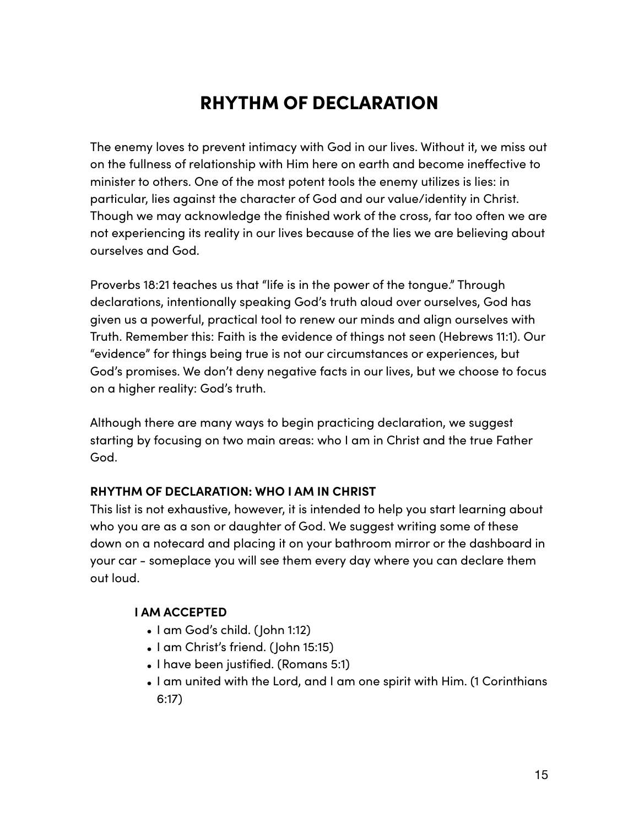# RHYTHM OF DECLARATION

The enemy loves to prevent intimacy with God in our lives. Without it, we miss out on the fullness of relationship with Him here on earth and become inefective to minister to others. One of the most potent tools the enemy utilizes is lies: in particular, lies against the character of God and our value/identity in Christ. Though we may acknowledge the finished work of the cross, far too often we are not experiencing its reality in our lives because of the lies we are believing about ourselves and God.

Proverbs 18:21 teaches us that "life is in the power of the tongue." Through declarations, intentionally speaking God's truth aloud over ourselves, God has given us a powerful, practical tool to renew our minds and align ourselves with Truth. Remember this: Faith is the evidence of things not seen (Hebrews 11:1). Our "evidence" for things being true is not our circumstances or experiences, but God's promises. We don't deny negative facts in our lives, but we choose to focus on a higher reality: God's truth.

Although there are many ways to begin practicing declaration, we suggest starting by focusing on two main areas: who I am in Christ and the true Father God.

# **RHYTHM OF DECLARATION: WHO I AM IN CHRIST**

This list is not exhaustive, however, it is intended to help you start learning about who you are as a son or daughter of God. We suggest writing some of these down on a notecard and placing it on your bathroom mirror or the dashboard in your car - someplace you will see them every day where you can declare them out loud.

### **I AM ACCEPTED**

- I am God's child. (John 1:12)
- I am Christ's friend. (John 15:15)
- I have been justified. (Romans 5:1)
- I am united with the Lord, and I am one spirit with Him. (1 Corinthians 6:17)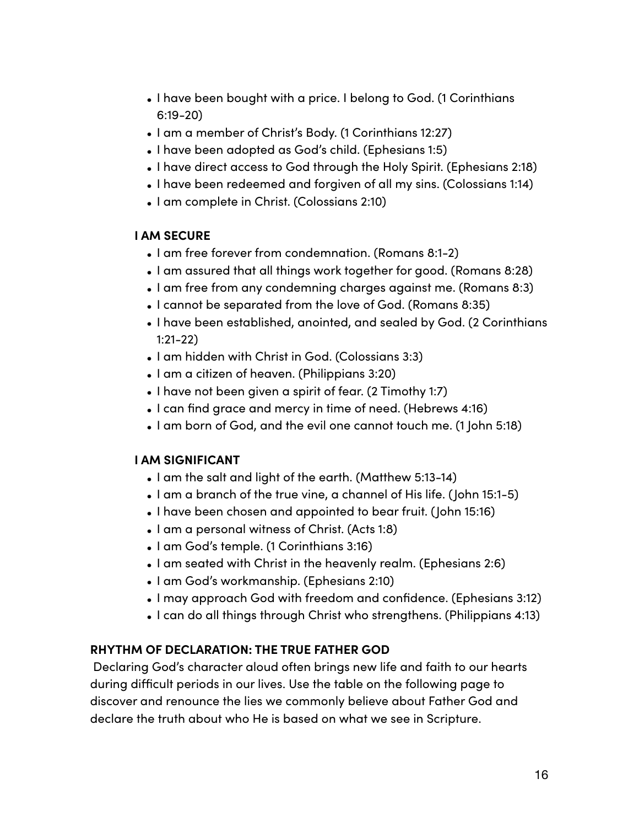- I have been bought with a price. I belong to God. (1 Corinthians 6:19-20)
- I am a member of Christ's Body. (1 Corinthians 12:27)
- I have been adopted as God's child. (Ephesians 1:5)
- I have direct access to God through the Holy Spirit. (Ephesians 2:18)
- I have been redeemed and forgiven of all my sins. (Colossians 1:14)
- I am complete in Christ. (Colossians 2:10)

### **I AM SECURE**

- I am free forever from condemnation. (Romans 8:1-2)
- I am assured that all things work together for good. (Romans 8:28)
- I am free from any condemning charges against me. (Romans 8:3)
- I cannot be separated from the love of God. (Romans 8:35)
- I have been established, anointed, and sealed by God. (2 Corinthians 1:21-22)
- I am hidden with Christ in God. (Colossians 3:3)
- I am a citizen of heaven. (Philippians 3:20)
- I have not been given a spirit of fear. (2 Timothy 1:7)
- I can find grace and mercy in time of need. (Hebrews 4:16)
- I am born of God, and the evil one cannot touch me. (1 John 5:18)

# **I AM SIGNIFICANT**

- I am the salt and light of the earth. (Matthew 5:13-14)
- I am a branch of the true vine, a channel of His life. (John 15:1-5)
- I have been chosen and appointed to bear fruit. (John 15:16)
- I am a personal witness of Christ. (Acts 1:8)
- I am God's temple. (1 Corinthians 3:16)
- I am seated with Christ in the heavenly realm. (Ephesians 2:6)
- I am God's workmanship. (Ephesians 2:10)
- I may approach God with freedom and confidence. (Ephesians 3:12)
- I can do all things through Christ who strengthens. (Philippians 4:13)

### **RHYTHM OF DECLARATION: THE TRUE FATHER GOD**

Declaring God's character aloud often brings new life and faith to our hearts during difficult periods in our lives. Use the table on the following page to discover and renounce the lies we commonly believe about Father God and declare the truth about who He is based on what we see in Scripture.